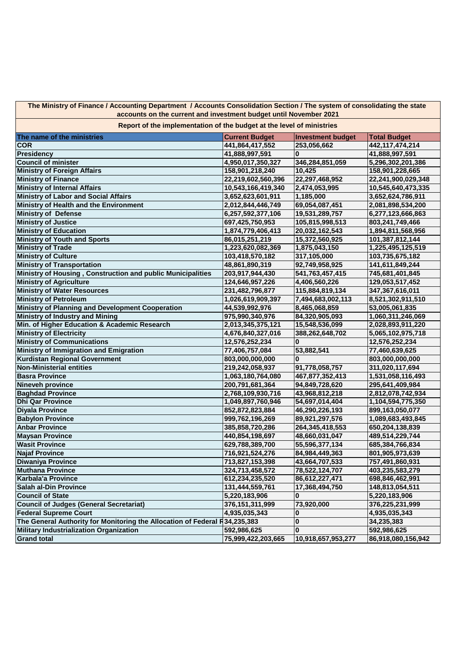**The Ministry of Finance / Accounting Department / Accounts Consolidation Section / The system of consolidating the state accounts on the current and investment budget until November 2021**

**The name of the ministries Current Budget Investment budget Total Budget COR 441,864,417,552 253,056,662 442,117,474,214 Presidency 41,888,997,591 0 41,888,997,591 Council of minister 4,950,017,350,327 346,284,851,059 5,296,302,201,386 Ministry of Foreign Affairs 158,901,218,240 10,425 158,901,228,665 Ministry of Finance 22,219,602,560,396 22,297,468,952 22,241,900,029,348 Ministry of Internal Affairs 10,543,166,419,340 2,474,053,995 Ministry of Labor and Social Affairs 3,652,623,601,911 1,185,000 3,652,624,786,911 Ministry of Health and the Environment 2,012,844,446,749 69,054,087,451 2,081,898,534,200 Ministry of Defense 6,257,592,377,106 19,531,289,757 6,277,123,666,863 Ministry of Justice 697,425,750,953 105,815,998,513 803,241,749,466 Ministry of Education 1,874,779,406,413 20,032,162,543 1,894,811,568,956 Ministry of Youth and Sports 86,015,251,219 15,372,560,925 101,387,812,144 Ministry of Trade 1,223,620,082,369 1,875,043,150 1,225,495,125,519 Ministry of Culture 103,418,570,182 317,105,000 103,735,675,182 Ministry of Transportation 48,861,890,319 92,749,958,925 141,611,849,244 Ministry of Housing , Construction and public Municipalities 203,917,944,430 541,763,457,415 745,681,401,845 Ministry of Agriculture 124,646,957,226 4,406,560,226 129,053,517,452 Ministry of Water Resources 231,482,796,877 115,884,819,134 347,367,616,011 Ministry of Petroleum 1,026,619,909,397 7,494,683,002,113 8,521,302,911,510 Ministry of Planning and Development Cooperation 44,539,992,976 8,465,068,859 53,005,061,835 Ministry of Industry and Mining <b>1975,990,340,976 1,060,3140,976 1,060,3140,976 1,060,3140,976 1,060,000 Min. of Higher Education & Academic Research 2,013,345,375,121 15,548,536,099 2,028,893,911,220 Ministry of Electricity 4,676,840,327,016 388,262,648,702 5,065,102,975,718 Ministry of Communications 12,576,252,234 0 12,576,252,234 Ministry of Immigration and Emigration 77,406,757,084 53,882,541 77,460,639,625 Kurdistan Regional Government 803,000,000,000 0 803,000,000,000 Non-Ministerial entities 219,242,058,937 91,778,058,757 311,020,117,694 Basra Province 1,063,180,764,080 467,877,352,413 1,531,058,116,493 Nineveh province 200,791,681,364 94,849,728,620 295,641,409,984 Baghdad Province 2,768,109,930,716 43,968,812,218 2,812,078,742,934 Dhi Qar Province 1,049,897,760,946 54,697,014,404 1,104,594,775,350 Diyala Province 852,872,823,884 46,290,226,193 899,163,050,077 Babylon Province 999,762,196,269 89,921,297,576 1,089,683,493,845 Anbar Province 385,858,720,286 264,345,418,553 650,204,138,839 Maysan Province 440,854,198,697 48,660,031,047 489,514,229,744 Wasit Province 629,788,389,700 55,596,377,134 685,384,766,834 Najaf Province 716,921,524,276 84,984,449,363 801,905,973,639 Diwaniya Province 713,827,153,398 43,664,707,533 757,491,860,931 Muthana Province 324,713,458,572 78,522,124,707 403,235,583,279 Karbala'a Province 612,234,235,520 86,612,227,471 698,846,462,991 Salah al-Din Province 131,444,559,761 17,368,494,750 148,813,054,511 Council of State 5,220,183,906 0 5,220,183,906 Council of Judges (General Secretariat) 376,151,311,999 73,920,000 376,225,231,999 Federal Supreme Court 4,935,035,343 0 4,935,035,343** The General Authority for Monitoring the Allocation of Federal R34,235,383 **0 0 134,235,383 Military Industrialization Organization 592,986,625 0 592,986,625 Grand total 75,999,422,203,665 10,918,657,953,277 86,918,080,156,942 Report of the implementation of the budget at the level of ministries**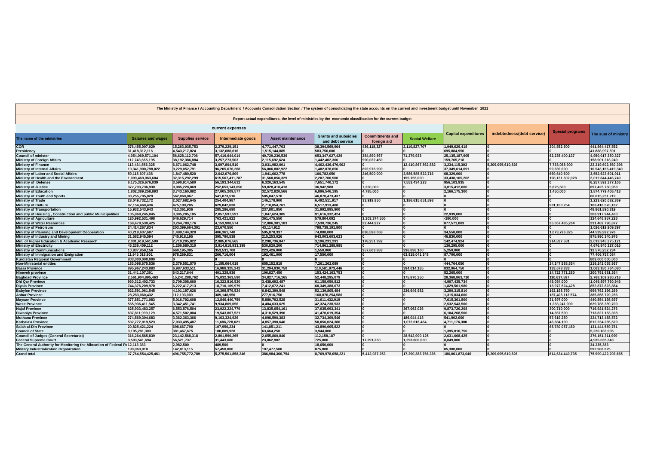| The Ministry of Finance / Accounting Department / Accounts Consolidation Section / The system of consolidating the state accounts on the current and investment budget until November 2021 |                           |                         |                    |                          |                                                 |                                       |                       |                             |                            |                         |                     |
|--------------------------------------------------------------------------------------------------------------------------------------------------------------------------------------------|---------------------------|-------------------------|--------------------|--------------------------|-------------------------------------------------|---------------------------------------|-----------------------|-----------------------------|----------------------------|-------------------------|---------------------|
| Report actual expenditures, the level of ministries by the economic classification for the current budget                                                                                  |                           |                         |                    |                          |                                                 |                                       |                       |                             |                            |                         |                     |
| current expenses                                                                                                                                                                           |                           |                         |                    |                          |                                                 |                                       |                       |                             |                            |                         |                     |
| The name of the ministries                                                                                                                                                                 | <b>Salaries and wages</b> | <b>Supplies service</b> | Intermediate goods | <b>Asset maintenance</b> | <b>Grants and subsidies</b><br>and debt service | <b>Commitments and</b><br>foreign aid | <b>Social Welfare</b> | <b>Capital expenditures</b> | indebtedness(debt service) | <b>Special programs</b> | The sum of ministry |
| <b>COR</b>                                                                                                                                                                                 | 376,455,007,029           | 15,263,035,753          | 2.279.229.151      | 4.771.447.703            | 38,394,569,964                                  | 436,118,327                           | 2,110,827,707         | 1.949.629.418               |                            | 204.552.500             | 441,864,417,552     |
| Presidency                                                                                                                                                                                 | 31,418,312,116            | 4,543,217,024           | 3,132,688,616      | 1,515,144,885            | 583,750,000                                     |                                       |                       | 695,884,950                 |                            |                         | 41,888,997,591      |
| <b>Council of minister</b>                                                                                                                                                                 | 4,054,069,571,104         | 56,628,112,706          | 57,416,644,014     | 40,729,236,536           | 653, 347, 027, 426                              | 384.890.567                           | 71,279,933            | 25,135,187,905              |                            | 62.235.400.137          | 4,950,017,350,327   |
| <b>Ministry of Foreign Affairs</b>                                                                                                                                                         | 112.743.665.195           | 38.192.386.884          | 3,257,273,503      | 2.115.692.624            | 1,442,402,366                                   | 990.032.450                           |                       | 159.765.218                 |                            |                         | 158,901,218,240     |
| <b>Ministry of Finance</b>                                                                                                                                                                 | 113,434,556,325           | 6,671,062,748           | 3,097,804,510      | 3,031,982,001            | 4,462,436,476,902                               |                                       | 12,410,867,862,882    | 3,234,115,303               | 5,209,095,610,826          | 7,733,088,900           | 22,219,602,560,396  |
| <b>Ministry of Internal Affairs</b>                                                                                                                                                        | 10,341,900,798,022        | 9,229,052,791           | 96,205,676,268     | 56,006,882,922           | 1,482,078,656                                   | 892.976.990                           |                       | 37.349.614.691              |                            | 99,339,000              | 10,543,166,419,340  |
| Ministry of Labor and Social Affairs                                                                                                                                                       | 59,115,607,438            | 1,847,480,520           | 2,042,076,809      | 1,941,662,778            | 106,782,050                                     | 246.500.000                           | 3,586,585,522,716     | 68.329.000                  |                            | 669.640.600             | 3.652.623.601.911   |
| Ministry of Health and the Environment                                                                                                                                                     | 1,099,469,063,604         | 32,315,292,299          | 615, 567, 411, 787 | 31,560,056,329           | 2,207,700,500                                   |                                       | 155,155,000           | 33,438,165,202              |                            | 198,131,602,028         | 2,012,844,446,749   |
| <b>Ministry of Defense</b>                                                                                                                                                                 | 6.175.326.676.039         | 3.590.914.580           | 56,193,344,612     | 6.320.163.545            | 7.651.740.172                                   |                                       | 7,553,434,223         | 956.103.935                 |                            |                         | 6.257.592.377.106   |
| <b>Ministry of Justice</b>                                                                                                                                                                 | 372,793,736,930           | 9,085,228,869           | 252,653,143,656    | 59,828,410,418           | 36,942,980                                      | 7,250,000                             |                       | 3,015,412,600               |                            | 5,625,500               | 697,425,750,953     |
| <b>Ministry of Education</b>                                                                                                                                                               | 1,802,389,258,893         | 3,743,160,882           | 27,005,209,577     | 32,572,820,566           | 6,896,546,195                                   | 4.785.000                             |                       | 2,166,175,300               |                            | 1.450.000               | 1,874,779,406,413   |
| <b>Ministry of Youth and Sports</b>                                                                                                                                                        | 38,255,795,829            | 562,060,867             | 541,873,516        | 585,047,570              | 46,070,473,437                                  |                                       |                       |                             |                            |                         | 86,015,251,219      |
| <b>Ministry of Trade</b>                                                                                                                                                                   | 28,049,732,172            | 2,027,682,645           | 254,404,987        | 146,178,900              | 6,492,511,917                                   | 33.919.850                            | 1,186,615,651,898     |                             |                            |                         | 1,223,620,082,369   |
| <b>Ministry of Culture</b>                                                                                                                                                                 | 92,154,460,436            | 475,199,205             | 629,842,038        | 2,710,054,761            | 6,517,913,488                                   |                                       |                       |                             |                            | 931,100,254             | 103,418,570,182     |
| <b>Ministry of Transportation</b>                                                                                                                                                          | 15,932,543,943            | 413.361.936             | 285.286.690        | 237,801,850              | 31,992,895,900                                  |                                       |                       |                             |                            |                         | 48.861.890.319      |
| Ministry of Housing, Construction and public Municipalities                                                                                                                                | 105,868,245,845           | 3,305,205,185           | 2,057,597,591      | 1,047,624,385            | 91,616,332,424                                  |                                       |                       | 22,939,000                  |                            |                         | 203,917,944,430     |
| <b>Ministry of Agriculture</b>                                                                                                                                                             | 120,992,531,498           | 646,629,714             | 763,421,822        | 361,475,550              | 579,804,092                                     | 1,303,374,550                         |                       | $-280,000$                  |                            |                         | 124,646,957,226     |
| <b>Ministry of Water Resources</b>                                                                                                                                                         | 168,479,530,425           | 3,264,789,176           | 4,153,908,574      | 12,086,381,183           | 7,530,736,245                                   | 22,444,927                            |                       | 877,571,083                 |                            | 35,067,435,264          | 231,482,796,877     |
| <b>Ministry of Petroleum</b>                                                                                                                                                               | 24,414,267,834            | 203.399.664.301         | 23.670.550         | 43.114.912               | 798,739,191,800                                 |                                       |                       |                             |                            |                         | 1.026.619.909.397   |
| Ministry of Planning and Development Cooperation                                                                                                                                           | 40,219,637,687            | 1,499,144,320           | 406,361,740        | 595,878,337              | 74,088,000                                      | 636,598,068                           |                       | 34,558,000                  |                            | 1,073,726,825           | 44,539,992,976      |
| Ministry of Industry and Mining                                                                                                                                                            | 31,582,945,594            | 745,918,195             | 395,790,538        | 215,253,026              | 943,003,603,623                                 |                                       |                       | 46,830,000                  |                            |                         | 975,990,340,976     |
| Min. of Higher Education & Academic Research                                                                                                                                               | 2,001,619,561,500         | 2,710,205,822           | 2,985,076,565      | 2,298,736,047            | 3,196,231,291                                   | 178,251,392                           |                       | 142,474,924                 |                            | 214,837,581             | 2,013,345,375,121   |
| <b>Ministry of Electricity</b>                                                                                                                                                             | 45,236,409,112            | 1,256,580,310           | 3,914,818,933,399  | 530,820,200              | 714,861,288,995                                 |                                       |                       | 136,295,000                 |                            |                         | 4,676,840,327,016   |
| <b>Ministry of Communications</b>                                                                                                                                                          | 10,837,859,156            | 660,195,395             | 353,531,700        | 223,426,000              | 1,550,000                                       | 257,603,883                           | 236,836,100           | 5,250,000                   |                            |                         | 12,576,252,234      |
| Ministry of Immigration and Emigration                                                                                                                                                     | 11,945,018,901            | 978,269,831             | 266,716,004        | 192,461,000              | 17,550,000                                      |                                       | 63,919,041,348        | 87,700,000                  |                            |                         | 77,406,757,084      |
| <b>Kurdistan Regional Government</b>                                                                                                                                                       | 803,000,000,000           |                         |                    |                          |                                                 |                                       |                       |                             |                            |                         | 803,000,000,000     |
| <b>Non-Ministerial entities</b>                                                                                                                                                            | 183,098,675,536           | 2,379,551,570           | 1,155,064,019      | 655,152,819              | 7,261,262,089                                   |                                       |                       | 444,764,050                 |                            | 24,247,588,854          | 219,242,058,937     |
| <b>Basra Province</b>                                                                                                                                                                      | 895,967,243,883           | 6,987,633,511           | 16,988,325,242     | 31,294,930,750           | 110,581,973,446                                 |                                       | 394,014,165           | 832,964,750                 |                            | 133,678,333             | 1,063,180,764,080   |
| Nineveh province                                                                                                                                                                           | 31,441,107,301            | 643,217,644             | 401,328,936        | 106,827,450              | 153,424,163,753                                 |                                       |                       | 52,265,000                  |                            | 14,722,771,280          | 200,791,681,364     |
| <b>Baghdad Province</b>                                                                                                                                                                    | 2,561,904,895,463         | 15,241,288,762          | 75,032,363,590     | 34,827,716,165           | 52,448,295,079                                  |                                       | 175,870,350           | 28,368,863,710              |                            | 110,637,597             | 2,768,109,930,716   |
| <b>Dhi Qar Province</b>                                                                                                                                                                    | 960,312,402,733           | 3,709,308,660           | 16,322,816,520     | 3,438,692,487            | 61,158,050,812                                  | ١o                                    |                       | 4,907,435,734               |                            | 49,054,000              | 1,049,897,760,946   |
| <b>Diyala Province</b>                                                                                                                                                                     | 744,376,209,970           | 6,222,417,213           | 18,710,109,979     | 7,412,672,241            | 60,349,388,073                                  | lo                                    |                       | 1.829.501.980               |                            | 13,972,524,428          | 852,872,823,884     |
| <b>Babylon Province</b>                                                                                                                                                                    | 922,591,061,545           | 4,101,197,626           | 10,398,579,524     | 6,842,390,548            | 52,139,805,484                                  |                                       | 236,646,982           | 3,290,315,810               |                            | 162,198,750             | 999,762,196,269     |
| <b>Anbar Province</b>                                                                                                                                                                      | 28,283,060,432            | 112,193,000             | 389,148,950        | 277,916,750              | 168,076,254,580                                 | ١n                                    |                       | 1,315,034,000               |                            | 187,405,112,574         | 385,858,720,286     |
| <b>Maysan Province</b>                                                                                                                                                                     | 377,851,771,083           | 5,016,702,608           | 12,846,440,759     | 5,880,792,528            | 31,611,432,919                                  | ١n                                    |                       | 7,615,361,800               |                            | 31,697,000              | 440,854,198,697     |
| <b>Wasit Province</b>                                                                                                                                                                      | 565,936,411,845           | 3,342,451,741           | 9,934,869,056      | 4.484.633.625            | 42,324,238,933                                  |                                       |                       | 2,532,543,500               |                            | 1,233,241,000           | 629,788,389,700     |
| <b>Najaf Province</b>                                                                                                                                                                      | 625,933,483,257           | 6,553,576,504           | 23,022,224,779     | 13,835,654,161           | 37,035,093,341                                  | ١n                                    | 367,062,026           | 9,873,720,208               |                            | 300,710,000             | 716,921,524,276     |
| <b>Diwaniya Province</b>                                                                                                                                                                   | 637,811,999,129           | 4,571,502,004           | 19,543,867,521     | 4,310,529,390            | 41,470,619,354                                  |                                       |                       | 6,104,268,500               |                            | 14,367,500              | 713,827,153,398     |
| <b>Muthana Province</b>                                                                                                                                                                    | 274,569,304,683           | 3,362,363,366           | 9,163,324,926      | 4,098,590,383            | 32,734,309,546                                  |                                       | 186,044,418           | 541,902,000                 |                            | 57,619,250              | 324,713,458,572     |
| Karbala'a Province                                                                                                                                                                         | 532,772,019,523           | 7,033,495,487           | 11,686,728,621     | 4,857,390,646            | 50,056,024,380                                  |                                       | 1,072,016,464         | 4,711,176,300               |                            | 45,384,100              | 612,234,235,520     |
| Salah al-Din Province                                                                                                                                                                      | 20,825,421,224            | 698,667,790             | 107,956,234        | 141,851,211              | 43,890,605,822                                  |                                       |                       |                             |                            | 65,780,057,480          | 131,444,559,761     |
| <b>Council of State</b>                                                                                                                                                                    | 3,195,281,303             | 381,467,675             | 180,809,928        | 63,664,250               | 3,944,000                                       |                                       |                       | 1,395,016,750               |                            |                         | 5,220,183,906       |
| <b>Council of Judges (General Secretariat)</b>                                                                                                                                             | 316,264,565,839           | 23, 142, 568, 318       | 2.801.590.265      | 2,655,860,840            | 112,158,187                                     |                                       | 28,542,900,125        | 2.631.668.425               |                            |                         | 376, 151, 311, 999  |
| <b>Federal Supreme Court</b>                                                                                                                                                               | 3,503,541,694             | 56,521,737              | 31,443,680         | 23.862.982               | 725,000                                         | 17.291.250                            | 1,293,600,000         | 8,049,000                   |                            |                         | 4,935,035,343       |
| The General Authority for Monitoring the Allocation of Federal Re12,113,383                                                                                                                |                           | 2.982.500               | 489.500            |                          | 18,650,000                                      |                                       |                       |                             |                            |                         | 34.235.383          |
| <b>Military Industrialization Organization</b>                                                                                                                                             | 199.063.010               | 142.813.115             | 57.458.000         | 107,477,500              | 875.000                                         |                                       |                       | 85.300.000                  |                            |                         | 592,986,625         |
| <b>Grand total</b>                                                                                                                                                                         | 37.764.554.425.461        | 496.755.772.789         | 5.275.561.858.246  | 386.984.360.754          | 8.769.978.058.221                               | 5,412,037,253                         | 17.290.383.766.336    | 186.061.873.046             | 5.209.095.610.826          | 614.634.440.735         | 75.999.422.203.665  |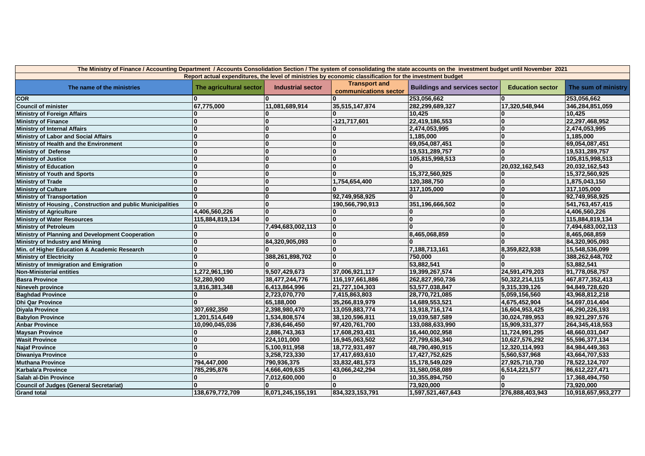| Report actual expenditures, the level of ministries by economic classification for the investment budget<br><b>Transport and</b><br>The name of the ministries<br>The agricultural sector<br><b>Industrial sector</b><br><b>Buildings and services sector</b><br><b>Education sector</b><br>The sum of ministry<br>communications sector<br><b>COR</b><br>253,056,662<br>253,056,662<br><b>Council of minister</b><br>67,775,000<br>11,081,689,914<br>35,515,147,874<br>282,299,689,327<br>17,320,548,944<br>346,284,851,059<br>10.425<br>10.425<br><b>Ministry of Foreign Affairs</b><br>۱O<br>$-121,717,601$<br>22,419,186,553<br>22,297,468,952<br>۱O<br><b>Ministry of Finance</b><br><b>Ministry of Internal Affairs</b><br>۱O<br>2,474,053,995<br>2,474,053,995<br>$\Omega$<br>O<br>1,185,000<br><b>Ministry of Labor and Social Affairs</b><br>$\Omega$<br>$\bf{0}$<br>1,185,000<br>$\Omega$<br>l0<br>$\Omega$<br>69,054,087,451<br>69,054,087,451<br>Ministry of Health and the Environment<br>l0<br>$\bf{0}$<br><b>Ministry of Defense</b><br>19,531,289,757<br>$\Omega$<br>19,531,289,757<br>0<br>$\mathbf{0}$<br>$\Omega$<br>$\Omega$<br><b>Ministry of Justice</b><br>105,815,998,513<br>105,815,998,513<br>0<br>$\Omega$<br><b>Ministry of Education</b><br>$\Omega$<br>$\bf{0}$<br>20,032,162,543<br>20,032,162,543<br>$\mathbf{0}$<br>15,372,560,925<br>$\Omega$<br>15,372,560,925<br><b>Ministry of Youth and Sports</b><br>$\overline{\mathbf{0}}$<br><b>Ministry of Trade</b><br>$\Omega$<br>1,754,654,400<br>120,388,750<br>$\bf{0}$<br>1,875,043,150<br>0<br><b>Ministry of Culture</b><br>317,105,000<br>$\Omega$<br>$\bf{0}$<br>317,105,000<br>O<br>92,749,958,925<br><b>Ministry of Transportation</b><br>$\bf{0}$<br>l0<br>92,749,958,925<br>Ministry of Housing, Construction and public Municipalities<br>0<br>351,196,666,502<br>$\bf{0}$<br>190,566,790,913<br>O<br>541,763,457,415<br>4,406,560,226<br>0<br>4,406,560,226<br><b>Ministry of Agriculture</b><br>$\Omega$<br>0<br>$\overline{\mathbf{0}}$<br><b>Ministry of Water Resources</b><br>$\mathbf 0$<br>115,884,819,134<br>$\mathbf{0}$<br>115,884,819,134<br>l0<br><b>Ministry of Petroleum</b><br>7,494,683,002,113<br>$\bf{0}$<br>7,494,683,002,113<br>Ministry of Planning and Development Cooperation<br><sup>0</sup><br>8,465,068,859<br>8,465,068,859<br>$\bf{0}$<br>Ministry of Industry and Mining<br>$\Omega$<br>84,320,905,093<br>84,320,905,093<br>0<br>Min. of Higher Education & Academic Research<br>7,188,713,161<br>15,548,536,099<br>$\mathbf{0}$<br>8,359,822,938<br>0<br><b>Ministry of Electricity</b><br>$\Omega$<br>388,261,898,702<br>750,000<br>388,262,648,702<br>Ministry of Immigration and Emigration<br>53,882,541<br>$\Omega$<br>53,882,541<br>9,507,429,673<br>1,272,961,190<br>37,006,921,117<br>19,399,267,574<br>24,591,479,203<br>91,778,058,757<br><b>Non-Ministerial entities</b><br><b>Basra Province</b><br>52,280,900<br>38,477,244,776<br>116, 197, 661, 886<br>262,827,950,736<br>50,322,214,115<br>467,877,352,413<br>6,413,864,996<br>21,727,104,303<br>53,577,038,847<br>9,315,339,126<br>94,849,728,620<br>Nineveh province<br>3,816,381,348<br><b>Baghdad Province</b><br>2,723,070,770<br>7,415,863,803<br>28,770,721,085<br>5,059,156,560<br>43,968,812,218<br><b>Dhi Qar Province</b><br>65,188,000<br>35,266,819,979<br>14,689,553,521<br>4,675,452,904<br>54,697,014,404<br>307,692,350<br>13,059,883,774<br><b>Divala Province</b><br>2,398,980,470<br>13,918,716,174<br>16,604,953,425<br>46,290,226,193<br>1,201,514,649<br>1,534,808,574<br>38,120,596,811<br>19,039,587,589<br>30,024,789,953<br>89,921,297,576<br><b>Babylon Province</b><br>10,090,045,036<br>7,836,646,450<br>97,420,761,700<br>133,088,633,990<br>15,909,331,377<br>264,345,418,553<br><b>Anbar Province</b><br>2,886,743,363<br>17,608,293,431<br>16,440,002,958<br>11,724,991,295<br>48,660,031,047<br><b>Maysan Province</b><br>224,101,000<br>16,945,063,502<br>27,799,636,340<br>10,627,576,292<br>55,596,377,134<br><b>Wasit Province</b><br>5,100,911,958<br>18,772,931,497<br>48,790,490,915<br>12,320,114,993<br>84,984,449,363<br><b>Najaf Province</b><br>17,417,693,610<br><b>Diwaniya Province</b><br>3,258,723,330<br>17,427,752,625<br>5,560,537,968<br>43,664,707,533<br>794,447,000<br>790,936,375<br>33,832,481,573<br>15,178,549,029<br>27,925,710,730<br>78,522,124,707<br><b>Muthana Province</b><br>785,295,876<br>4,666,409,635<br>43,066,242,294<br>31,580,058,089<br>6,514,221,577<br>86,612,227,471<br>Karbala'a Province<br>10,355,894,750<br>Salah al-Din Province<br>7,012,600,000<br>17,368,494,750<br><sup>0</sup><br>73,920,000<br><b>Council of Judges (General Secretariat)</b><br>73,920,000 | The Ministry of Finance / Accounting Department / Accounts Consolidation Section / The system of consolidating the state accounts on the investment budget until November 2021 |                 |                   |                    |                   |                 |                    |
|----------------------------------------------------------------------------------------------------------------------------------------------------------------------------------------------------------------------------------------------------------------------------------------------------------------------------------------------------------------------------------------------------------------------------------------------------------------------------------------------------------------------------------------------------------------------------------------------------------------------------------------------------------------------------------------------------------------------------------------------------------------------------------------------------------------------------------------------------------------------------------------------------------------------------------------------------------------------------------------------------------------------------------------------------------------------------------------------------------------------------------------------------------------------------------------------------------------------------------------------------------------------------------------------------------------------------------------------------------------------------------------------------------------------------------------------------------------------------------------------------------------------------------------------------------------------------------------------------------------------------------------------------------------------------------------------------------------------------------------------------------------------------------------------------------------------------------------------------------------------------------------------------------------------------------------------------------------------------------------------------------------------------------------------------------------------------------------------------------------------------------------------------------------------------------------------------------------------------------------------------------------------------------------------------------------------------------------------------------------------------------------------------------------------------------------------------------------------------------------------------------------------------------------------------------------------------------------------------------------------------------------------------------------------------------------------------------------------------------------------------------------------------------------------------------------------------------------------------------------------------------------------------------------------------------------------------------------------------------------------------------------------------------------------------------------------------------------------------------------------------------------------------------------------------------------------------------------------------------------------------------------------------------------------------------------------------------------------------------------------------------------------------------------------------------------------------------------------------------------------------------------------------------------------------------------------------------------------------------------------------------------------------------------------------------------------------------------------------------------------------------------------------------------------------------------------------------------------------------------------------------------------------------------------------------------------------------------------------------------------------------------------------------------------------------------------------------------------------------------------------------------------------------------------------------------------------------------------------------------------------------------------------------------------------------------------------------------------------------------------------------------------------------------------------------------------------------------------------------------------------------------------------------------------------------------------------------------------------------------------------------------------------------------------------------------------------------------------------------------------------|--------------------------------------------------------------------------------------------------------------------------------------------------------------------------------|-----------------|-------------------|--------------------|-------------------|-----------------|--------------------|
|                                                                                                                                                                                                                                                                                                                                                                                                                                                                                                                                                                                                                                                                                                                                                                                                                                                                                                                                                                                                                                                                                                                                                                                                                                                                                                                                                                                                                                                                                                                                                                                                                                                                                                                                                                                                                                                                                                                                                                                                                                                                                                                                                                                                                                                                                                                                                                                                                                                                                                                                                                                                                                                                                                                                                                                                                                                                                                                                                                                                                                                                                                                                                                                                                                                                                                                                                                                                                                                                                                                                                                                                                                                                                                                                                                                                                                                                                                                                                                                                                                                                                                                                                                                                                                                                                                                                                                                                                                                                                                                                                                                                                                                                                                                                                    |                                                                                                                                                                                |                 |                   |                    |                   |                 |                    |
|                                                                                                                                                                                                                                                                                                                                                                                                                                                                                                                                                                                                                                                                                                                                                                                                                                                                                                                                                                                                                                                                                                                                                                                                                                                                                                                                                                                                                                                                                                                                                                                                                                                                                                                                                                                                                                                                                                                                                                                                                                                                                                                                                                                                                                                                                                                                                                                                                                                                                                                                                                                                                                                                                                                                                                                                                                                                                                                                                                                                                                                                                                                                                                                                                                                                                                                                                                                                                                                                                                                                                                                                                                                                                                                                                                                                                                                                                                                                                                                                                                                                                                                                                                                                                                                                                                                                                                                                                                                                                                                                                                                                                                                                                                                                                    |                                                                                                                                                                                |                 |                   |                    |                   |                 |                    |
|                                                                                                                                                                                                                                                                                                                                                                                                                                                                                                                                                                                                                                                                                                                                                                                                                                                                                                                                                                                                                                                                                                                                                                                                                                                                                                                                                                                                                                                                                                                                                                                                                                                                                                                                                                                                                                                                                                                                                                                                                                                                                                                                                                                                                                                                                                                                                                                                                                                                                                                                                                                                                                                                                                                                                                                                                                                                                                                                                                                                                                                                                                                                                                                                                                                                                                                                                                                                                                                                                                                                                                                                                                                                                                                                                                                                                                                                                                                                                                                                                                                                                                                                                                                                                                                                                                                                                                                                                                                                                                                                                                                                                                                                                                                                                    |                                                                                                                                                                                |                 |                   |                    |                   |                 |                    |
|                                                                                                                                                                                                                                                                                                                                                                                                                                                                                                                                                                                                                                                                                                                                                                                                                                                                                                                                                                                                                                                                                                                                                                                                                                                                                                                                                                                                                                                                                                                                                                                                                                                                                                                                                                                                                                                                                                                                                                                                                                                                                                                                                                                                                                                                                                                                                                                                                                                                                                                                                                                                                                                                                                                                                                                                                                                                                                                                                                                                                                                                                                                                                                                                                                                                                                                                                                                                                                                                                                                                                                                                                                                                                                                                                                                                                                                                                                                                                                                                                                                                                                                                                                                                                                                                                                                                                                                                                                                                                                                                                                                                                                                                                                                                                    |                                                                                                                                                                                |                 |                   |                    |                   |                 |                    |
|                                                                                                                                                                                                                                                                                                                                                                                                                                                                                                                                                                                                                                                                                                                                                                                                                                                                                                                                                                                                                                                                                                                                                                                                                                                                                                                                                                                                                                                                                                                                                                                                                                                                                                                                                                                                                                                                                                                                                                                                                                                                                                                                                                                                                                                                                                                                                                                                                                                                                                                                                                                                                                                                                                                                                                                                                                                                                                                                                                                                                                                                                                                                                                                                                                                                                                                                                                                                                                                                                                                                                                                                                                                                                                                                                                                                                                                                                                                                                                                                                                                                                                                                                                                                                                                                                                                                                                                                                                                                                                                                                                                                                                                                                                                                                    |                                                                                                                                                                                |                 |                   |                    |                   |                 |                    |
|                                                                                                                                                                                                                                                                                                                                                                                                                                                                                                                                                                                                                                                                                                                                                                                                                                                                                                                                                                                                                                                                                                                                                                                                                                                                                                                                                                                                                                                                                                                                                                                                                                                                                                                                                                                                                                                                                                                                                                                                                                                                                                                                                                                                                                                                                                                                                                                                                                                                                                                                                                                                                                                                                                                                                                                                                                                                                                                                                                                                                                                                                                                                                                                                                                                                                                                                                                                                                                                                                                                                                                                                                                                                                                                                                                                                                                                                                                                                                                                                                                                                                                                                                                                                                                                                                                                                                                                                                                                                                                                                                                                                                                                                                                                                                    |                                                                                                                                                                                |                 |                   |                    |                   |                 |                    |
|                                                                                                                                                                                                                                                                                                                                                                                                                                                                                                                                                                                                                                                                                                                                                                                                                                                                                                                                                                                                                                                                                                                                                                                                                                                                                                                                                                                                                                                                                                                                                                                                                                                                                                                                                                                                                                                                                                                                                                                                                                                                                                                                                                                                                                                                                                                                                                                                                                                                                                                                                                                                                                                                                                                                                                                                                                                                                                                                                                                                                                                                                                                                                                                                                                                                                                                                                                                                                                                                                                                                                                                                                                                                                                                                                                                                                                                                                                                                                                                                                                                                                                                                                                                                                                                                                                                                                                                                                                                                                                                                                                                                                                                                                                                                                    |                                                                                                                                                                                |                 |                   |                    |                   |                 |                    |
|                                                                                                                                                                                                                                                                                                                                                                                                                                                                                                                                                                                                                                                                                                                                                                                                                                                                                                                                                                                                                                                                                                                                                                                                                                                                                                                                                                                                                                                                                                                                                                                                                                                                                                                                                                                                                                                                                                                                                                                                                                                                                                                                                                                                                                                                                                                                                                                                                                                                                                                                                                                                                                                                                                                                                                                                                                                                                                                                                                                                                                                                                                                                                                                                                                                                                                                                                                                                                                                                                                                                                                                                                                                                                                                                                                                                                                                                                                                                                                                                                                                                                                                                                                                                                                                                                                                                                                                                                                                                                                                                                                                                                                                                                                                                                    |                                                                                                                                                                                |                 |                   |                    |                   |                 |                    |
|                                                                                                                                                                                                                                                                                                                                                                                                                                                                                                                                                                                                                                                                                                                                                                                                                                                                                                                                                                                                                                                                                                                                                                                                                                                                                                                                                                                                                                                                                                                                                                                                                                                                                                                                                                                                                                                                                                                                                                                                                                                                                                                                                                                                                                                                                                                                                                                                                                                                                                                                                                                                                                                                                                                                                                                                                                                                                                                                                                                                                                                                                                                                                                                                                                                                                                                                                                                                                                                                                                                                                                                                                                                                                                                                                                                                                                                                                                                                                                                                                                                                                                                                                                                                                                                                                                                                                                                                                                                                                                                                                                                                                                                                                                                                                    |                                                                                                                                                                                |                 |                   |                    |                   |                 |                    |
|                                                                                                                                                                                                                                                                                                                                                                                                                                                                                                                                                                                                                                                                                                                                                                                                                                                                                                                                                                                                                                                                                                                                                                                                                                                                                                                                                                                                                                                                                                                                                                                                                                                                                                                                                                                                                                                                                                                                                                                                                                                                                                                                                                                                                                                                                                                                                                                                                                                                                                                                                                                                                                                                                                                                                                                                                                                                                                                                                                                                                                                                                                                                                                                                                                                                                                                                                                                                                                                                                                                                                                                                                                                                                                                                                                                                                                                                                                                                                                                                                                                                                                                                                                                                                                                                                                                                                                                                                                                                                                                                                                                                                                                                                                                                                    |                                                                                                                                                                                |                 |                   |                    |                   |                 |                    |
|                                                                                                                                                                                                                                                                                                                                                                                                                                                                                                                                                                                                                                                                                                                                                                                                                                                                                                                                                                                                                                                                                                                                                                                                                                                                                                                                                                                                                                                                                                                                                                                                                                                                                                                                                                                                                                                                                                                                                                                                                                                                                                                                                                                                                                                                                                                                                                                                                                                                                                                                                                                                                                                                                                                                                                                                                                                                                                                                                                                                                                                                                                                                                                                                                                                                                                                                                                                                                                                                                                                                                                                                                                                                                                                                                                                                                                                                                                                                                                                                                                                                                                                                                                                                                                                                                                                                                                                                                                                                                                                                                                                                                                                                                                                                                    |                                                                                                                                                                                |                 |                   |                    |                   |                 |                    |
|                                                                                                                                                                                                                                                                                                                                                                                                                                                                                                                                                                                                                                                                                                                                                                                                                                                                                                                                                                                                                                                                                                                                                                                                                                                                                                                                                                                                                                                                                                                                                                                                                                                                                                                                                                                                                                                                                                                                                                                                                                                                                                                                                                                                                                                                                                                                                                                                                                                                                                                                                                                                                                                                                                                                                                                                                                                                                                                                                                                                                                                                                                                                                                                                                                                                                                                                                                                                                                                                                                                                                                                                                                                                                                                                                                                                                                                                                                                                                                                                                                                                                                                                                                                                                                                                                                                                                                                                                                                                                                                                                                                                                                                                                                                                                    |                                                                                                                                                                                |                 |                   |                    |                   |                 |                    |
|                                                                                                                                                                                                                                                                                                                                                                                                                                                                                                                                                                                                                                                                                                                                                                                                                                                                                                                                                                                                                                                                                                                                                                                                                                                                                                                                                                                                                                                                                                                                                                                                                                                                                                                                                                                                                                                                                                                                                                                                                                                                                                                                                                                                                                                                                                                                                                                                                                                                                                                                                                                                                                                                                                                                                                                                                                                                                                                                                                                                                                                                                                                                                                                                                                                                                                                                                                                                                                                                                                                                                                                                                                                                                                                                                                                                                                                                                                                                                                                                                                                                                                                                                                                                                                                                                                                                                                                                                                                                                                                                                                                                                                                                                                                                                    |                                                                                                                                                                                |                 |                   |                    |                   |                 |                    |
|                                                                                                                                                                                                                                                                                                                                                                                                                                                                                                                                                                                                                                                                                                                                                                                                                                                                                                                                                                                                                                                                                                                                                                                                                                                                                                                                                                                                                                                                                                                                                                                                                                                                                                                                                                                                                                                                                                                                                                                                                                                                                                                                                                                                                                                                                                                                                                                                                                                                                                                                                                                                                                                                                                                                                                                                                                                                                                                                                                                                                                                                                                                                                                                                                                                                                                                                                                                                                                                                                                                                                                                                                                                                                                                                                                                                                                                                                                                                                                                                                                                                                                                                                                                                                                                                                                                                                                                                                                                                                                                                                                                                                                                                                                                                                    |                                                                                                                                                                                |                 |                   |                    |                   |                 |                    |
|                                                                                                                                                                                                                                                                                                                                                                                                                                                                                                                                                                                                                                                                                                                                                                                                                                                                                                                                                                                                                                                                                                                                                                                                                                                                                                                                                                                                                                                                                                                                                                                                                                                                                                                                                                                                                                                                                                                                                                                                                                                                                                                                                                                                                                                                                                                                                                                                                                                                                                                                                                                                                                                                                                                                                                                                                                                                                                                                                                                                                                                                                                                                                                                                                                                                                                                                                                                                                                                                                                                                                                                                                                                                                                                                                                                                                                                                                                                                                                                                                                                                                                                                                                                                                                                                                                                                                                                                                                                                                                                                                                                                                                                                                                                                                    |                                                                                                                                                                                |                 |                   |                    |                   |                 |                    |
|                                                                                                                                                                                                                                                                                                                                                                                                                                                                                                                                                                                                                                                                                                                                                                                                                                                                                                                                                                                                                                                                                                                                                                                                                                                                                                                                                                                                                                                                                                                                                                                                                                                                                                                                                                                                                                                                                                                                                                                                                                                                                                                                                                                                                                                                                                                                                                                                                                                                                                                                                                                                                                                                                                                                                                                                                                                                                                                                                                                                                                                                                                                                                                                                                                                                                                                                                                                                                                                                                                                                                                                                                                                                                                                                                                                                                                                                                                                                                                                                                                                                                                                                                                                                                                                                                                                                                                                                                                                                                                                                                                                                                                                                                                                                                    |                                                                                                                                                                                |                 |                   |                    |                   |                 |                    |
|                                                                                                                                                                                                                                                                                                                                                                                                                                                                                                                                                                                                                                                                                                                                                                                                                                                                                                                                                                                                                                                                                                                                                                                                                                                                                                                                                                                                                                                                                                                                                                                                                                                                                                                                                                                                                                                                                                                                                                                                                                                                                                                                                                                                                                                                                                                                                                                                                                                                                                                                                                                                                                                                                                                                                                                                                                                                                                                                                                                                                                                                                                                                                                                                                                                                                                                                                                                                                                                                                                                                                                                                                                                                                                                                                                                                                                                                                                                                                                                                                                                                                                                                                                                                                                                                                                                                                                                                                                                                                                                                                                                                                                                                                                                                                    |                                                                                                                                                                                |                 |                   |                    |                   |                 |                    |
|                                                                                                                                                                                                                                                                                                                                                                                                                                                                                                                                                                                                                                                                                                                                                                                                                                                                                                                                                                                                                                                                                                                                                                                                                                                                                                                                                                                                                                                                                                                                                                                                                                                                                                                                                                                                                                                                                                                                                                                                                                                                                                                                                                                                                                                                                                                                                                                                                                                                                                                                                                                                                                                                                                                                                                                                                                                                                                                                                                                                                                                                                                                                                                                                                                                                                                                                                                                                                                                                                                                                                                                                                                                                                                                                                                                                                                                                                                                                                                                                                                                                                                                                                                                                                                                                                                                                                                                                                                                                                                                                                                                                                                                                                                                                                    |                                                                                                                                                                                |                 |                   |                    |                   |                 |                    |
|                                                                                                                                                                                                                                                                                                                                                                                                                                                                                                                                                                                                                                                                                                                                                                                                                                                                                                                                                                                                                                                                                                                                                                                                                                                                                                                                                                                                                                                                                                                                                                                                                                                                                                                                                                                                                                                                                                                                                                                                                                                                                                                                                                                                                                                                                                                                                                                                                                                                                                                                                                                                                                                                                                                                                                                                                                                                                                                                                                                                                                                                                                                                                                                                                                                                                                                                                                                                                                                                                                                                                                                                                                                                                                                                                                                                                                                                                                                                                                                                                                                                                                                                                                                                                                                                                                                                                                                                                                                                                                                                                                                                                                                                                                                                                    |                                                                                                                                                                                |                 |                   |                    |                   |                 |                    |
|                                                                                                                                                                                                                                                                                                                                                                                                                                                                                                                                                                                                                                                                                                                                                                                                                                                                                                                                                                                                                                                                                                                                                                                                                                                                                                                                                                                                                                                                                                                                                                                                                                                                                                                                                                                                                                                                                                                                                                                                                                                                                                                                                                                                                                                                                                                                                                                                                                                                                                                                                                                                                                                                                                                                                                                                                                                                                                                                                                                                                                                                                                                                                                                                                                                                                                                                                                                                                                                                                                                                                                                                                                                                                                                                                                                                                                                                                                                                                                                                                                                                                                                                                                                                                                                                                                                                                                                                                                                                                                                                                                                                                                                                                                                                                    |                                                                                                                                                                                |                 |                   |                    |                   |                 |                    |
|                                                                                                                                                                                                                                                                                                                                                                                                                                                                                                                                                                                                                                                                                                                                                                                                                                                                                                                                                                                                                                                                                                                                                                                                                                                                                                                                                                                                                                                                                                                                                                                                                                                                                                                                                                                                                                                                                                                                                                                                                                                                                                                                                                                                                                                                                                                                                                                                                                                                                                                                                                                                                                                                                                                                                                                                                                                                                                                                                                                                                                                                                                                                                                                                                                                                                                                                                                                                                                                                                                                                                                                                                                                                                                                                                                                                                                                                                                                                                                                                                                                                                                                                                                                                                                                                                                                                                                                                                                                                                                                                                                                                                                                                                                                                                    |                                                                                                                                                                                |                 |                   |                    |                   |                 |                    |
|                                                                                                                                                                                                                                                                                                                                                                                                                                                                                                                                                                                                                                                                                                                                                                                                                                                                                                                                                                                                                                                                                                                                                                                                                                                                                                                                                                                                                                                                                                                                                                                                                                                                                                                                                                                                                                                                                                                                                                                                                                                                                                                                                                                                                                                                                                                                                                                                                                                                                                                                                                                                                                                                                                                                                                                                                                                                                                                                                                                                                                                                                                                                                                                                                                                                                                                                                                                                                                                                                                                                                                                                                                                                                                                                                                                                                                                                                                                                                                                                                                                                                                                                                                                                                                                                                                                                                                                                                                                                                                                                                                                                                                                                                                                                                    |                                                                                                                                                                                |                 |                   |                    |                   |                 |                    |
|                                                                                                                                                                                                                                                                                                                                                                                                                                                                                                                                                                                                                                                                                                                                                                                                                                                                                                                                                                                                                                                                                                                                                                                                                                                                                                                                                                                                                                                                                                                                                                                                                                                                                                                                                                                                                                                                                                                                                                                                                                                                                                                                                                                                                                                                                                                                                                                                                                                                                                                                                                                                                                                                                                                                                                                                                                                                                                                                                                                                                                                                                                                                                                                                                                                                                                                                                                                                                                                                                                                                                                                                                                                                                                                                                                                                                                                                                                                                                                                                                                                                                                                                                                                                                                                                                                                                                                                                                                                                                                                                                                                                                                                                                                                                                    |                                                                                                                                                                                |                 |                   |                    |                   |                 |                    |
|                                                                                                                                                                                                                                                                                                                                                                                                                                                                                                                                                                                                                                                                                                                                                                                                                                                                                                                                                                                                                                                                                                                                                                                                                                                                                                                                                                                                                                                                                                                                                                                                                                                                                                                                                                                                                                                                                                                                                                                                                                                                                                                                                                                                                                                                                                                                                                                                                                                                                                                                                                                                                                                                                                                                                                                                                                                                                                                                                                                                                                                                                                                                                                                                                                                                                                                                                                                                                                                                                                                                                                                                                                                                                                                                                                                                                                                                                                                                                                                                                                                                                                                                                                                                                                                                                                                                                                                                                                                                                                                                                                                                                                                                                                                                                    |                                                                                                                                                                                |                 |                   |                    |                   |                 |                    |
|                                                                                                                                                                                                                                                                                                                                                                                                                                                                                                                                                                                                                                                                                                                                                                                                                                                                                                                                                                                                                                                                                                                                                                                                                                                                                                                                                                                                                                                                                                                                                                                                                                                                                                                                                                                                                                                                                                                                                                                                                                                                                                                                                                                                                                                                                                                                                                                                                                                                                                                                                                                                                                                                                                                                                                                                                                                                                                                                                                                                                                                                                                                                                                                                                                                                                                                                                                                                                                                                                                                                                                                                                                                                                                                                                                                                                                                                                                                                                                                                                                                                                                                                                                                                                                                                                                                                                                                                                                                                                                                                                                                                                                                                                                                                                    |                                                                                                                                                                                |                 |                   |                    |                   |                 |                    |
|                                                                                                                                                                                                                                                                                                                                                                                                                                                                                                                                                                                                                                                                                                                                                                                                                                                                                                                                                                                                                                                                                                                                                                                                                                                                                                                                                                                                                                                                                                                                                                                                                                                                                                                                                                                                                                                                                                                                                                                                                                                                                                                                                                                                                                                                                                                                                                                                                                                                                                                                                                                                                                                                                                                                                                                                                                                                                                                                                                                                                                                                                                                                                                                                                                                                                                                                                                                                                                                                                                                                                                                                                                                                                                                                                                                                                                                                                                                                                                                                                                                                                                                                                                                                                                                                                                                                                                                                                                                                                                                                                                                                                                                                                                                                                    |                                                                                                                                                                                |                 |                   |                    |                   |                 |                    |
|                                                                                                                                                                                                                                                                                                                                                                                                                                                                                                                                                                                                                                                                                                                                                                                                                                                                                                                                                                                                                                                                                                                                                                                                                                                                                                                                                                                                                                                                                                                                                                                                                                                                                                                                                                                                                                                                                                                                                                                                                                                                                                                                                                                                                                                                                                                                                                                                                                                                                                                                                                                                                                                                                                                                                                                                                                                                                                                                                                                                                                                                                                                                                                                                                                                                                                                                                                                                                                                                                                                                                                                                                                                                                                                                                                                                                                                                                                                                                                                                                                                                                                                                                                                                                                                                                                                                                                                                                                                                                                                                                                                                                                                                                                                                                    |                                                                                                                                                                                |                 |                   |                    |                   |                 |                    |
|                                                                                                                                                                                                                                                                                                                                                                                                                                                                                                                                                                                                                                                                                                                                                                                                                                                                                                                                                                                                                                                                                                                                                                                                                                                                                                                                                                                                                                                                                                                                                                                                                                                                                                                                                                                                                                                                                                                                                                                                                                                                                                                                                                                                                                                                                                                                                                                                                                                                                                                                                                                                                                                                                                                                                                                                                                                                                                                                                                                                                                                                                                                                                                                                                                                                                                                                                                                                                                                                                                                                                                                                                                                                                                                                                                                                                                                                                                                                                                                                                                                                                                                                                                                                                                                                                                                                                                                                                                                                                                                                                                                                                                                                                                                                                    |                                                                                                                                                                                |                 |                   |                    |                   |                 |                    |
|                                                                                                                                                                                                                                                                                                                                                                                                                                                                                                                                                                                                                                                                                                                                                                                                                                                                                                                                                                                                                                                                                                                                                                                                                                                                                                                                                                                                                                                                                                                                                                                                                                                                                                                                                                                                                                                                                                                                                                                                                                                                                                                                                                                                                                                                                                                                                                                                                                                                                                                                                                                                                                                                                                                                                                                                                                                                                                                                                                                                                                                                                                                                                                                                                                                                                                                                                                                                                                                                                                                                                                                                                                                                                                                                                                                                                                                                                                                                                                                                                                                                                                                                                                                                                                                                                                                                                                                                                                                                                                                                                                                                                                                                                                                                                    |                                                                                                                                                                                |                 |                   |                    |                   |                 |                    |
|                                                                                                                                                                                                                                                                                                                                                                                                                                                                                                                                                                                                                                                                                                                                                                                                                                                                                                                                                                                                                                                                                                                                                                                                                                                                                                                                                                                                                                                                                                                                                                                                                                                                                                                                                                                                                                                                                                                                                                                                                                                                                                                                                                                                                                                                                                                                                                                                                                                                                                                                                                                                                                                                                                                                                                                                                                                                                                                                                                                                                                                                                                                                                                                                                                                                                                                                                                                                                                                                                                                                                                                                                                                                                                                                                                                                                                                                                                                                                                                                                                                                                                                                                                                                                                                                                                                                                                                                                                                                                                                                                                                                                                                                                                                                                    |                                                                                                                                                                                |                 |                   |                    |                   |                 |                    |
|                                                                                                                                                                                                                                                                                                                                                                                                                                                                                                                                                                                                                                                                                                                                                                                                                                                                                                                                                                                                                                                                                                                                                                                                                                                                                                                                                                                                                                                                                                                                                                                                                                                                                                                                                                                                                                                                                                                                                                                                                                                                                                                                                                                                                                                                                                                                                                                                                                                                                                                                                                                                                                                                                                                                                                                                                                                                                                                                                                                                                                                                                                                                                                                                                                                                                                                                                                                                                                                                                                                                                                                                                                                                                                                                                                                                                                                                                                                                                                                                                                                                                                                                                                                                                                                                                                                                                                                                                                                                                                                                                                                                                                                                                                                                                    |                                                                                                                                                                                |                 |                   |                    |                   |                 |                    |
|                                                                                                                                                                                                                                                                                                                                                                                                                                                                                                                                                                                                                                                                                                                                                                                                                                                                                                                                                                                                                                                                                                                                                                                                                                                                                                                                                                                                                                                                                                                                                                                                                                                                                                                                                                                                                                                                                                                                                                                                                                                                                                                                                                                                                                                                                                                                                                                                                                                                                                                                                                                                                                                                                                                                                                                                                                                                                                                                                                                                                                                                                                                                                                                                                                                                                                                                                                                                                                                                                                                                                                                                                                                                                                                                                                                                                                                                                                                                                                                                                                                                                                                                                                                                                                                                                                                                                                                                                                                                                                                                                                                                                                                                                                                                                    |                                                                                                                                                                                |                 |                   |                    |                   |                 |                    |
|                                                                                                                                                                                                                                                                                                                                                                                                                                                                                                                                                                                                                                                                                                                                                                                                                                                                                                                                                                                                                                                                                                                                                                                                                                                                                                                                                                                                                                                                                                                                                                                                                                                                                                                                                                                                                                                                                                                                                                                                                                                                                                                                                                                                                                                                                                                                                                                                                                                                                                                                                                                                                                                                                                                                                                                                                                                                                                                                                                                                                                                                                                                                                                                                                                                                                                                                                                                                                                                                                                                                                                                                                                                                                                                                                                                                                                                                                                                                                                                                                                                                                                                                                                                                                                                                                                                                                                                                                                                                                                                                                                                                                                                                                                                                                    |                                                                                                                                                                                |                 |                   |                    |                   |                 |                    |
|                                                                                                                                                                                                                                                                                                                                                                                                                                                                                                                                                                                                                                                                                                                                                                                                                                                                                                                                                                                                                                                                                                                                                                                                                                                                                                                                                                                                                                                                                                                                                                                                                                                                                                                                                                                                                                                                                                                                                                                                                                                                                                                                                                                                                                                                                                                                                                                                                                                                                                                                                                                                                                                                                                                                                                                                                                                                                                                                                                                                                                                                                                                                                                                                                                                                                                                                                                                                                                                                                                                                                                                                                                                                                                                                                                                                                                                                                                                                                                                                                                                                                                                                                                                                                                                                                                                                                                                                                                                                                                                                                                                                                                                                                                                                                    |                                                                                                                                                                                |                 |                   |                    |                   |                 |                    |
|                                                                                                                                                                                                                                                                                                                                                                                                                                                                                                                                                                                                                                                                                                                                                                                                                                                                                                                                                                                                                                                                                                                                                                                                                                                                                                                                                                                                                                                                                                                                                                                                                                                                                                                                                                                                                                                                                                                                                                                                                                                                                                                                                                                                                                                                                                                                                                                                                                                                                                                                                                                                                                                                                                                                                                                                                                                                                                                                                                                                                                                                                                                                                                                                                                                                                                                                                                                                                                                                                                                                                                                                                                                                                                                                                                                                                                                                                                                                                                                                                                                                                                                                                                                                                                                                                                                                                                                                                                                                                                                                                                                                                                                                                                                                                    |                                                                                                                                                                                |                 |                   |                    |                   |                 |                    |
|                                                                                                                                                                                                                                                                                                                                                                                                                                                                                                                                                                                                                                                                                                                                                                                                                                                                                                                                                                                                                                                                                                                                                                                                                                                                                                                                                                                                                                                                                                                                                                                                                                                                                                                                                                                                                                                                                                                                                                                                                                                                                                                                                                                                                                                                                                                                                                                                                                                                                                                                                                                                                                                                                                                                                                                                                                                                                                                                                                                                                                                                                                                                                                                                                                                                                                                                                                                                                                                                                                                                                                                                                                                                                                                                                                                                                                                                                                                                                                                                                                                                                                                                                                                                                                                                                                                                                                                                                                                                                                                                                                                                                                                                                                                                                    |                                                                                                                                                                                |                 |                   |                    |                   |                 |                    |
|                                                                                                                                                                                                                                                                                                                                                                                                                                                                                                                                                                                                                                                                                                                                                                                                                                                                                                                                                                                                                                                                                                                                                                                                                                                                                                                                                                                                                                                                                                                                                                                                                                                                                                                                                                                                                                                                                                                                                                                                                                                                                                                                                                                                                                                                                                                                                                                                                                                                                                                                                                                                                                                                                                                                                                                                                                                                                                                                                                                                                                                                                                                                                                                                                                                                                                                                                                                                                                                                                                                                                                                                                                                                                                                                                                                                                                                                                                                                                                                                                                                                                                                                                                                                                                                                                                                                                                                                                                                                                                                                                                                                                                                                                                                                                    |                                                                                                                                                                                |                 |                   |                    |                   |                 |                    |
|                                                                                                                                                                                                                                                                                                                                                                                                                                                                                                                                                                                                                                                                                                                                                                                                                                                                                                                                                                                                                                                                                                                                                                                                                                                                                                                                                                                                                                                                                                                                                                                                                                                                                                                                                                                                                                                                                                                                                                                                                                                                                                                                                                                                                                                                                                                                                                                                                                                                                                                                                                                                                                                                                                                                                                                                                                                                                                                                                                                                                                                                                                                                                                                                                                                                                                                                                                                                                                                                                                                                                                                                                                                                                                                                                                                                                                                                                                                                                                                                                                                                                                                                                                                                                                                                                                                                                                                                                                                                                                                                                                                                                                                                                                                                                    |                                                                                                                                                                                |                 |                   |                    |                   |                 |                    |
|                                                                                                                                                                                                                                                                                                                                                                                                                                                                                                                                                                                                                                                                                                                                                                                                                                                                                                                                                                                                                                                                                                                                                                                                                                                                                                                                                                                                                                                                                                                                                                                                                                                                                                                                                                                                                                                                                                                                                                                                                                                                                                                                                                                                                                                                                                                                                                                                                                                                                                                                                                                                                                                                                                                                                                                                                                                                                                                                                                                                                                                                                                                                                                                                                                                                                                                                                                                                                                                                                                                                                                                                                                                                                                                                                                                                                                                                                                                                                                                                                                                                                                                                                                                                                                                                                                                                                                                                                                                                                                                                                                                                                                                                                                                                                    |                                                                                                                                                                                |                 |                   |                    |                   |                 |                    |
|                                                                                                                                                                                                                                                                                                                                                                                                                                                                                                                                                                                                                                                                                                                                                                                                                                                                                                                                                                                                                                                                                                                                                                                                                                                                                                                                                                                                                                                                                                                                                                                                                                                                                                                                                                                                                                                                                                                                                                                                                                                                                                                                                                                                                                                                                                                                                                                                                                                                                                                                                                                                                                                                                                                                                                                                                                                                                                                                                                                                                                                                                                                                                                                                                                                                                                                                                                                                                                                                                                                                                                                                                                                                                                                                                                                                                                                                                                                                                                                                                                                                                                                                                                                                                                                                                                                                                                                                                                                                                                                                                                                                                                                                                                                                                    |                                                                                                                                                                                |                 |                   |                    |                   |                 |                    |
|                                                                                                                                                                                                                                                                                                                                                                                                                                                                                                                                                                                                                                                                                                                                                                                                                                                                                                                                                                                                                                                                                                                                                                                                                                                                                                                                                                                                                                                                                                                                                                                                                                                                                                                                                                                                                                                                                                                                                                                                                                                                                                                                                                                                                                                                                                                                                                                                                                                                                                                                                                                                                                                                                                                                                                                                                                                                                                                                                                                                                                                                                                                                                                                                                                                                                                                                                                                                                                                                                                                                                                                                                                                                                                                                                                                                                                                                                                                                                                                                                                                                                                                                                                                                                                                                                                                                                                                                                                                                                                                                                                                                                                                                                                                                                    |                                                                                                                                                                                |                 |                   |                    |                   |                 |                    |
|                                                                                                                                                                                                                                                                                                                                                                                                                                                                                                                                                                                                                                                                                                                                                                                                                                                                                                                                                                                                                                                                                                                                                                                                                                                                                                                                                                                                                                                                                                                                                                                                                                                                                                                                                                                                                                                                                                                                                                                                                                                                                                                                                                                                                                                                                                                                                                                                                                                                                                                                                                                                                                                                                                                                                                                                                                                                                                                                                                                                                                                                                                                                                                                                                                                                                                                                                                                                                                                                                                                                                                                                                                                                                                                                                                                                                                                                                                                                                                                                                                                                                                                                                                                                                                                                                                                                                                                                                                                                                                                                                                                                                                                                                                                                                    |                                                                                                                                                                                |                 |                   |                    |                   |                 |                    |
|                                                                                                                                                                                                                                                                                                                                                                                                                                                                                                                                                                                                                                                                                                                                                                                                                                                                                                                                                                                                                                                                                                                                                                                                                                                                                                                                                                                                                                                                                                                                                                                                                                                                                                                                                                                                                                                                                                                                                                                                                                                                                                                                                                                                                                                                                                                                                                                                                                                                                                                                                                                                                                                                                                                                                                                                                                                                                                                                                                                                                                                                                                                                                                                                                                                                                                                                                                                                                                                                                                                                                                                                                                                                                                                                                                                                                                                                                                                                                                                                                                                                                                                                                                                                                                                                                                                                                                                                                                                                                                                                                                                                                                                                                                                                                    | <b>Grand total</b>                                                                                                                                                             | 138,679,772,709 | 8,071,245,155,191 | 834, 323, 153, 791 | 1,597,521,467,643 | 276,888,403,943 | 10,918,657,953,277 |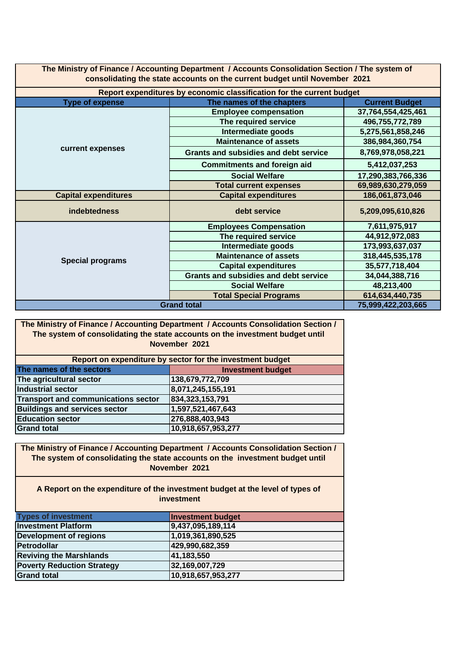| The Ministry of Finance / Accounting Department / Accounts Consolidation Section / The system of |                              |                    |  |  |  |
|--------------------------------------------------------------------------------------------------|------------------------------|--------------------|--|--|--|
| consolidating the state accounts on the current budget until November 2021                       |                              |                    |  |  |  |
| Report expenditures by economic classification for the current budget                            |                              |                    |  |  |  |
| The names of the chapters<br><b>Current Budget</b><br><b>Type of expense</b>                     |                              |                    |  |  |  |
|                                                                                                  | <b>Employee compensation</b> | 37,764,554,425,461 |  |  |  |
| 100.755.770.700<br>The company of the company of the company of the con-                         |                              |                    |  |  |  |

|                             | The required service                         | 496,755,772,789    |
|-----------------------------|----------------------------------------------|--------------------|
|                             | Intermediate goods                           | 5,275,561,858,246  |
|                             | <b>Maintenance of assets</b>                 | 386,984,360,754    |
| current expenses            | <b>Grants and subsidies and debt service</b> | 8,769,978,058,221  |
|                             | <b>Commitments and foreign aid</b>           | 5,412,037,253      |
|                             | <b>Social Welfare</b>                        | 17,290,383,766,336 |
|                             | <b>Total current expenses</b>                | 69,989,630,279,059 |
| <b>Capital expenditures</b> | <b>Capital expenditures</b>                  | 186,061,873,046    |
| <b>indebtedness</b>         | debt service                                 | 5,209,095,610,826  |
|                             | <b>Employees Compensation</b>                | 7,611,975,917      |
|                             | The required service                         | 44,912,972,083     |
|                             | Intermediate goods                           | 173,993,637,037    |
| <b>Special programs</b>     | <b>Maintenance of assets</b>                 | 318,445,535,178    |
|                             | <b>Capital expenditures</b>                  | 35,577,718,404     |
|                             | <b>Grants and subsidies and debt service</b> | 34,044,388,716     |
|                             | <b>Social Welfare</b>                        | 48,213,400         |
|                             | <b>Total Special Programs</b>                | 614,634,440,735    |
| <b>Grand total</b>          | 75,999,422,203,665                           |                    |

**The Ministry of Finance / Accounting Department / Accounts Consolidation Section / The system of consolidating the state accounts on the investment budget until November 2021**

Ī

| Report on expenditure by sector for the investment budget |                    |  |  |  |
|-----------------------------------------------------------|--------------------|--|--|--|
| The names of the sectors<br><b>Investment budget</b>      |                    |  |  |  |
| The agricultural sector                                   | 138,679,772,709    |  |  |  |
| Industrial sector                                         | 8,071,245,155,191  |  |  |  |
| Transport and communications sector                       | 834, 323, 153, 791 |  |  |  |
| <b>Buildings and services sector</b>                      | 1,597,521,467,643  |  |  |  |
| <b>Education sector</b>                                   | 276,888,403,943    |  |  |  |
| <b>Grand total</b>                                        | 10,918,657,953,277 |  |  |  |

**The Ministry of Finance / Accounting Department / Accounts Consolidation Section / The system of consolidating the state accounts on the investment budget until November 2021**

## **A Report on the expenditure of the investment budget at the level of types of investment**

| <b>Types of investment</b>        | <b>Investment budget</b> |
|-----------------------------------|--------------------------|
| <b>Investment Platform</b>        | 9,437,095,189,114        |
| <b>Development of regions</b>     | 1,019,361,890,525        |
| Petrodollar                       | 429,990,682,359          |
| <b>Reviving the Marshlands</b>    | 41,183,550               |
| <b>Poverty Reduction Strategy</b> | 32,169,007,729           |
| <b>Grand total</b>                | 10,918,657,953,277       |